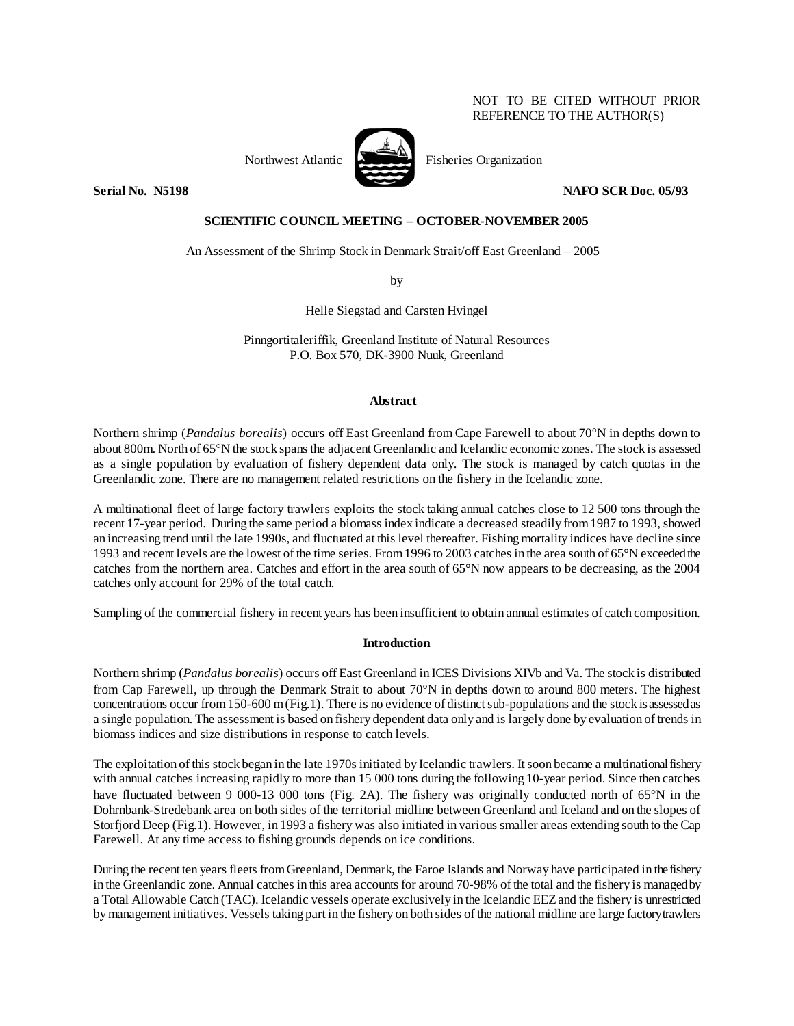# NOT TO BE CITED WITHOUT PRIOR REFERENCE TO THE AUTHOR(S)



Northwest Atlantic Fisheries Organization

**Serial No. N5198 NAFO SCR Doc. 05/93** 

# **SCIENTIFIC COUNCIL MEETING – OCTOBER-NOVEMBER 2005**

An Assessment of the Shrimp Stock in Denmark Strait/off East Greenland – 2005

by

Helle Siegstad and Carsten Hvingel

Pinngortitaleriffik, Greenland Institute of Natural Resources P.O. Box 570, DK-3900 Nuuk, Greenland

# **Abstract**

Northern shrimp (*Pandalus borealis*) occurs off East Greenland from Cape Farewell to about 70°N in depths down to about 800m. North of 65°N the stock spans the adjacent Greenlandic and Icelandic economic zones. The stock is assessed as a single population by evaluation of fishery dependent data only. The stock is managed by catch quotas in the Greenlandic zone. There are no management related restrictions on the fishery in the Icelandic zone.

A multinational fleet of large factory trawlers exploits the stock taking annual catches close to 12 500 tons through the recent 17-year period. During the same period a biomass index indicate a decreased steadily from 1987 to 1993, showed an increasing trend until the late 1990s, and fluctuated at this level thereafter. Fishing mortality indices have decline since 1993 and recent levels are the lowest of the time series. From 1996 to 2003 catches in the area south of 65°N exceeded the catches from the northern area. Catches and effort in the area south of  $65^{\circ}$ N now appears to be decreasing, as the 2004 catches only account for 29% of the total catch.

Sampling of the commercial fishery in recent years has been insufficient to obtain annual estimates of catch composition.

# **Introduction**

Northern shrimp (*Pandalus borealis*) occurs off East Greenland in ICES Divisions XIVb and Va. The stock is distributed from Cap Farewell, up through the Denmark Strait to about 70°N in depths down to around 800 meters. The highest concentrations occur from 150-600 m (Fig.1). There is no evidence of distinct sub-populations and the stock is assessed as a single population. The assessment is based on fishery dependent data only and is largely done by evaluation of trends in biomass indices and size distributions in response to catch levels.

The exploitation of this stock began in the late 1970s initiated by Icelandic trawlers. It soon became a multinational fishery with annual catches increasing rapidly to more than 15 000 tons during the following 10-year period. Since then catches have fluctuated between 9 000-13 000 tons (Fig. 2A). The fishery was originally conducted north of 65°N in the Dohrnbank-Stredebank area on both sides of the territorial midline between Greenland and Iceland and on the slopes of Storfjord Deep (Fig.1). However, in 1993 a fishery was also initiated in various smaller areas extending south to the Cap Farewell. At any time access to fishing grounds depends on ice conditions.

During the recent ten years fleets from Greenland, Denmark, the Faroe Islands and Norway have participated in the fishery in the Greenlandic zone. Annual catches in this area accounts for around 70-98% of the total and the fishery is managed by a Total Allowable Catch (TAC). Icelandic vessels operate exclusively in the Icelandic EEZ and the fishery is unrestricted by management initiatives. Vessels taking part in the fishery on both sides of the national midline are large factory trawlers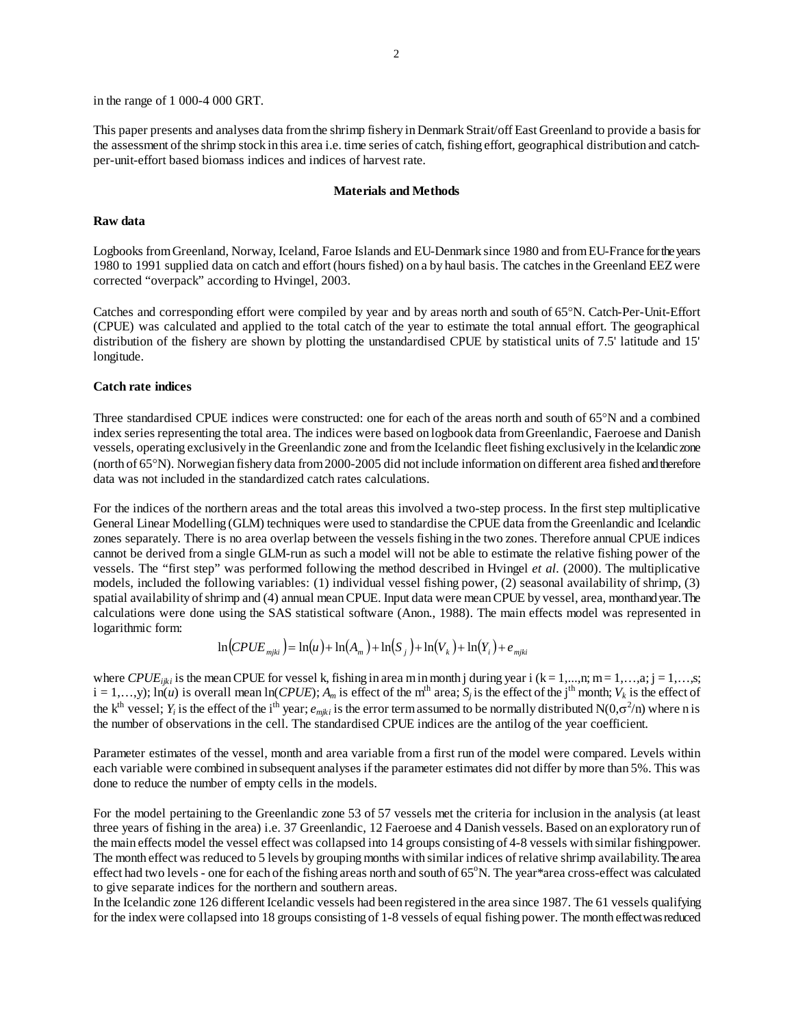in the range of 1 000-4 000 GRT.

This paper presents and analyses data from the shrimp fishery in Denmark Strait/off East Greenland to provide a basis for the assessment of the shrimp stock in this area i.e. time series of catch, fishing effort, geographical distribution and catchper-unit-effort based biomass indices and indices of harvest rate.

#### **Materials and Methods**

### **Raw data**

Logbooks from Greenland, Norway, Iceland, Faroe Islands and EU-Denmark since 1980 and from EU-France for the years 1980 to 1991 supplied data on catch and effort (hours fished) on a by haul basis. The catches in the Greenland EEZ were corrected "overpack" according to Hvingel, 2003.

Catches and corresponding effort were compiled by year and by areas north and south of 65°N. Catch-Per-Unit-Effort (CPUE) was calculated and applied to the total catch of the year to estimate the total annual effort. The geographical distribution of the fishery are shown by plotting the unstandardised CPUE by statistical units of 7.5' latitude and 15' longitude.

### **Catch rate indices**

Three standardised CPUE indices were constructed: one for each of the areas north and south of 65°N and a combined index series representing the total area. The indices were based on logbook data from Greenlandic, Faeroese and Danish vessels, operating exclusively in the Greenlandic zone and from the Icelandic fleet fishing exclusively in the Icelandic zone (north of 65°N). Norwegian fishery data from 2000-2005 did not include information on different area fished and therefore data was not included in the standardized catch rates calculations.

For the indices of the northern areas and the total areas this involved a two-step process. In the first step multiplicative General Linear Modelling (GLM) techniques were used to standardise the CPUE data from the Greenlandic and Icelandic zones separately. There is no area overlap between the vessels fishing in the two zones. Therefore annual CPUE indices cannot be derived from a single GLM-run as such a model will not be able to estimate the relative fishing power of the vessels. The "first step" was performed following the method described in Hvingel *et al.* (2000). The multiplicative models, included the following variables: (1) individual vessel fishing power, (2) seasonal availability of shrimp, (3) spatial availability of shrimp and (4) annual mean CPUE. Input data were mean CPUE by vessel, area, month and year. The calculations were done using the SAS statistical software (Anon., 1988). The main effects model was represented in logarithmic form:

$$
\ln(CPUE_{mjki}) = \ln(u) + \ln(A_m) + \ln(S_j) + \ln(V_k) + \ln(Y_i) + e_{mjki}
$$

where *CPUE<sub>ijki</sub>* is the mean CPUE for vessel k, fishing in area m in month j during year i (k = 1,…,n; m = 1,…,a; j = 1,…,s;  $i = 1,...,y$ ;  $\ln(u)$  is overall mean  $\ln(CPUE)$ ;  $A_m$  is effect of the m<sup>th</sup> area;  $S_i$  is the effect of the j<sup>th</sup> month;  $V_k$  is the effect of the k<sup>th</sup> vessel;  $Y_i$  is the effect of the i<sup>th</sup> year;  $e_{mjki}$  is the error term assumed to be normally distributed N(0, $\sigma^2/n$ ) where n is the number of observations in the cell. The standardised CPUE indices are the antilog of the year coefficient.

Parameter estimates of the vessel, month and area variable from a first run of the model were compared. Levels within each variable were combined in subsequent analyses if the parameter estimates did not differ by more than 5%. This was done to reduce the number of empty cells in the models.

For the model pertaining to the Greenlandic zone 53 of 57 vessels met the criteria for inclusion in the analysis (at least three years of fishing in the area) i.e. 37 Greenlandic, 12 Faeroese and 4 Danish vessels. Based on an exploratory run of the main effects model the vessel effect was collapsed into 14 groups consisting of 4-8 vessels with similar fishing power. The month effect was reduced to 5 levels by grouping months with similar indices of relative shrimp availability. The area effect had two levels - one for each of the fishing areas north and south of 65°N. The year\*area cross-effect was calculated to give separate indices for the northern and southern areas.

In the Icelandic zone 126 different Icelandic vessels had been registered in the area since 1987. The 61 vessels qualifying for the index were collapsed into 18 groups consisting of 1-8 vessels of equal fishing power. The month effect was reduced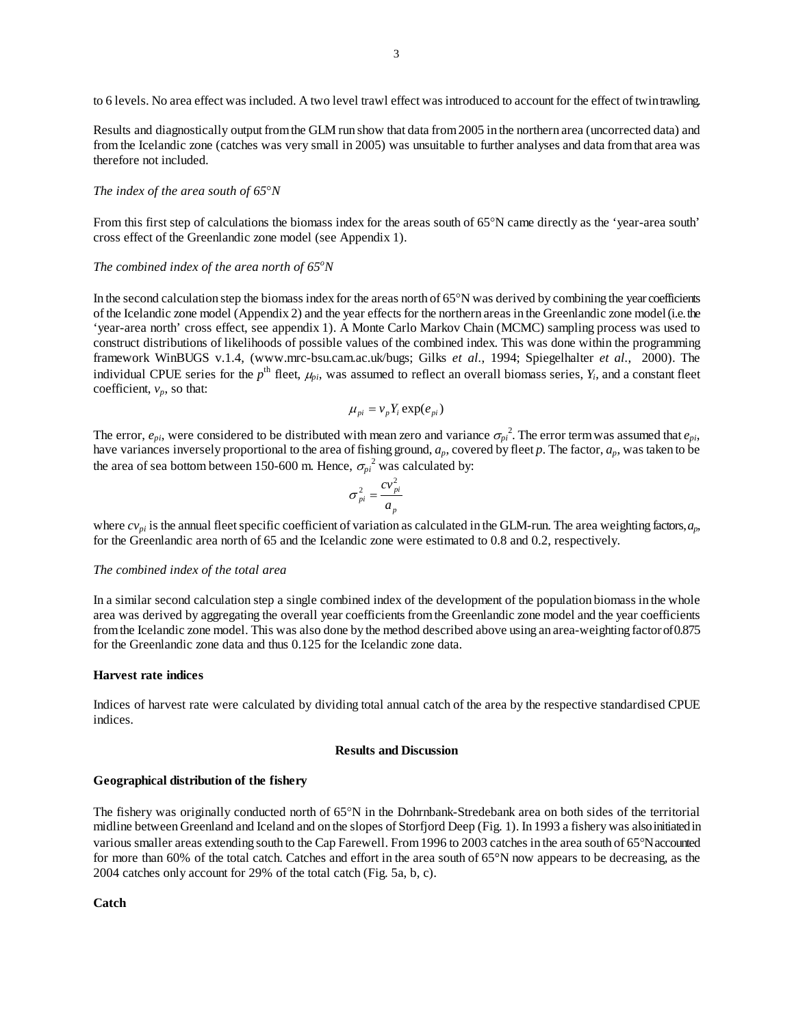to 6 levels. No area effect was included. A two level trawl effect was introduced to account for the effect of twin trawling.

Results and diagnostically output from the GLM run show that data from 2005 in the northern area (uncorrected data) and from the Icelandic zone (catches was very small in 2005) was unsuitable to further analyses and data from that area was therefore not included.

### *The index of the area south of 65*°*N*

From this first step of calculations the biomass index for the areas south of 65°N came directly as the 'year-area south' cross effect of the Greenlandic zone model (see Appendix 1).

# *The combined index of the area north of 65<sup>o</sup>N*

In the second calculation step the biomass index for the areas north of 65°N was derived by combining the year coefficients of the Icelandic zone model (Appendix 2) and the year effects for the northern areas in the Greenlandic zone model (i.e. the 'year-area north' cross effect, see appendix 1). A Monte Carlo Markov Chain (MCMC) sampling process was used to construct distributions of likelihoods of possible values of the combined index. This was done within the programming framework WinBUGS v.1.4, (www.mrc-bsu.cam.ac.uk/bugs; Gilks *et al.*, 1994; Spiegelhalter *et al.*, 2000). The individual CPUE series for the  $p^{\text{th}}$  fleet,  $\mu_{\text{ni}}$ , was assumed to reflect an overall biomass series,  $Y_i$ , and a constant fleet coefficient,  $v_p$ , so that:

$$
\mu_{pi} = v_p Y_i \exp(e_{pi})
$$

The error,  $e_{pi}$ , were considered to be distributed with mean zero and variance  $\sigma_{pi}^2$ . The error term was assumed that  $e_{pi}$ , have variances inversely proportional to the area of fishing ground, *ap*, covered by fleet *p*. The factor, *ap*, was taken to be the area of sea bottom between 150-600 m. Hence,  $\sigma_{pi}^2$  was calculated by:

$$
\sigma_{pi}^2 = \frac{cv_{pi}^2}{a_p}
$$

where  $cv_{pi}$  is the annual fleet specific coefficient of variation as calculated in the GLM-run. The area weighting factors, *a*<sub>p</sub>, for the Greenlandic area north of 65 and the Icelandic zone were estimated to 0.8 and 0.2, respectively.

### *The combined index of the total area*

In a similar second calculation step a single combined index of the development of the population biomass in the whole area was derived by aggregating the overall year coefficients from the Greenlandic zone model and the year coefficients from the Icelandic zone model. This was also done by the method described above using an area-weighting factor of 0.875 for the Greenlandic zone data and thus 0.125 for the Icelandic zone data.

### **Harvest rate indices**

Indices of harvest rate were calculated by dividing total annual catch of the area by the respective standardised CPUE indices.

#### **Results and Discussion**

### **Geographical distribution of the fishery**

The fishery was originally conducted north of 65°N in the Dohrnbank-Stredebank area on both sides of the territorial midline between Greenland and Iceland and on the slopes of Storfjord Deep (Fig. 1). In 1993 a fishery was also initiated in various smaller areas extending south to the Cap Farewell. From 1996 to 2003 catches in the area south of 65°N accounted for more than 60% of the total catch. Catches and effort in the area south of 65°N now appears to be decreasing, as the 2004 catches only account for 29% of the total catch (Fig. 5a, b, c).

**Catch**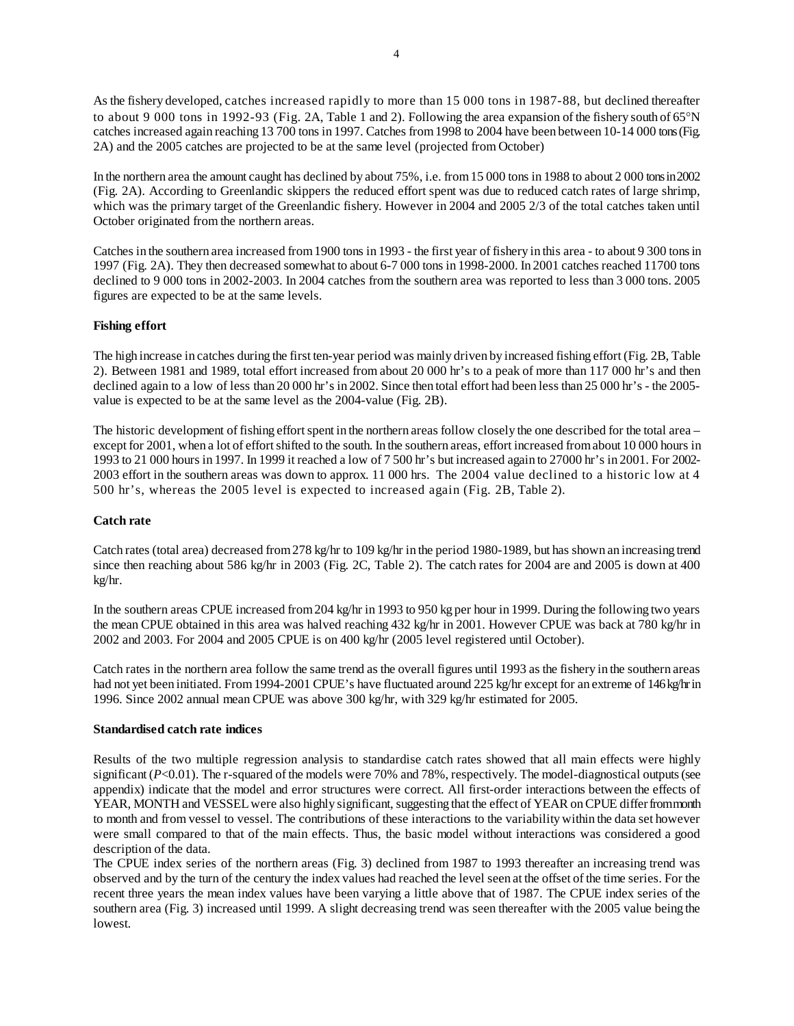As the fishery developed, catches increased rapidly to more than 15 000 tons in 1987-88, but declined thereafter to about 9 000 tons in 1992-93 (Fig. 2A, Table 1 and 2). Following the area expansion of the fishery south of 65°N catches increased again reaching 13 700 tons in 1997. Catches from 1998 to 2004 have been between 10-14 000 tons (Fig. 2A) and the 2005 catches are projected to be at the same level (projected from October)

In the northern area the amount caught has declined by about 75%, i.e. from 15 000 tons in 1988 to about 2 000 tons in 2002 (Fig. 2A). According to Greenlandic skippers the reduced effort spent was due to reduced catch rates of large shrimp, which was the primary target of the Greenlandic fishery. However in 2004 and 2005 2/3 of the total catches taken until October originated from the northern areas.

Catches in the southern area increased from 1900 tons in 1993 - the first year of fishery in this area - to about 9 300 tons in 1997 (Fig. 2A). They then decreased somewhat to about 6-7 000 tons in 1998-2000. In 2001 catches reached 11700 tons declined to 9 000 tons in 2002-2003. In 2004 catches from the southern area was reported to less than 3 000 tons. 2005 figures are expected to be at the same levels.

# **Fishing effort**

The high increase in catches during the first ten-year period was mainly driven by increased fishing effort (Fig. 2B, Table 2). Between 1981 and 1989, total effort increased from about 20 000 hr's to a peak of more than 117 000 hr's and then declined again to a low of less than 20 000 hr's in 2002. Since then total effort had been less than 25 000 hr's - the 2005 value is expected to be at the same level as the 2004-value (Fig. 2B).

The historic development of fishing effort spent in the northern areas follow closely the one described for the total area – except for 2001, when a lot of effort shifted to the south. In the southern areas, effort increased from about 10 000 hours in 1993 to 21 000 hours in 1997. In 1999 it reached a low of 7 500 hr's but increased again to 27000 hr's in 2001. For 2002- 2003 effort in the southern areas was down to approx. 11 000 hrs. The 2004 value declined to a historic low at 4 500 hr's, whereas the 2005 level is expected to increased again (Fig. 2B, Table 2).

# **Catch rate**

Catch rates (total area) decreased from 278 kg/hr to 109 kg/hr in the period 1980-1989, but has shown an increasing trend since then reaching about 586 kg/hr in 2003 (Fig. 2C, Table 2). The catch rates for 2004 are and 2005 is down at 400 kg/hr.

In the southern areas CPUE increased from 204 kg/hr in 1993 to 950 kg per hour in 1999. During the following two years the mean CPUE obtained in this area was halved reaching 432 kg/hr in 2001. However CPUE was back at 780 kg/hr in 2002 and 2003. For 2004 and 2005 CPUE is on 400 kg/hr (2005 level registered until October).

Catch rates in the northern area follow the same trend as the overall figures until 1993 as the fishery in the southern areas had not yet been initiated. From 1994-2001 CPUE's have fluctuated around 225 kg/hr except for an extreme of 146 kg/hr in 1996. Since 2002 annual mean CPUE was above 300 kg/hr, with 329 kg/hr estimated for 2005.

### **Standardised catch rate indices**

Results of the two multiple regression analysis to standardise catch rates showed that all main effects were highly significant (*P*<0.01). The r-squared of the models were 70% and 78%, respectively. The model-diagnostical outputs (see appendix) indicate that the model and error structures were correct. All first-order interactions between the effects of YEAR, MONTH and VESSEL were also highly significant, suggesting that the effect of YEAR on CPUE differ from month to month and from vessel to vessel. The contributions of these interactions to the variability within the data set however were small compared to that of the main effects. Thus, the basic model without interactions was considered a good description of the data.

The CPUE index series of the northern areas (Fig. 3) declined from 1987 to 1993 thereafter an increasing trend was observed and by the turn of the century the index values had reached the level seen at the offset of the time series. For the recent three years the mean index values have been varying a little above that of 1987. The CPUE index series of the southern area (Fig. 3) increased until 1999. A slight decreasing trend was seen thereafter with the 2005 value being the lowest.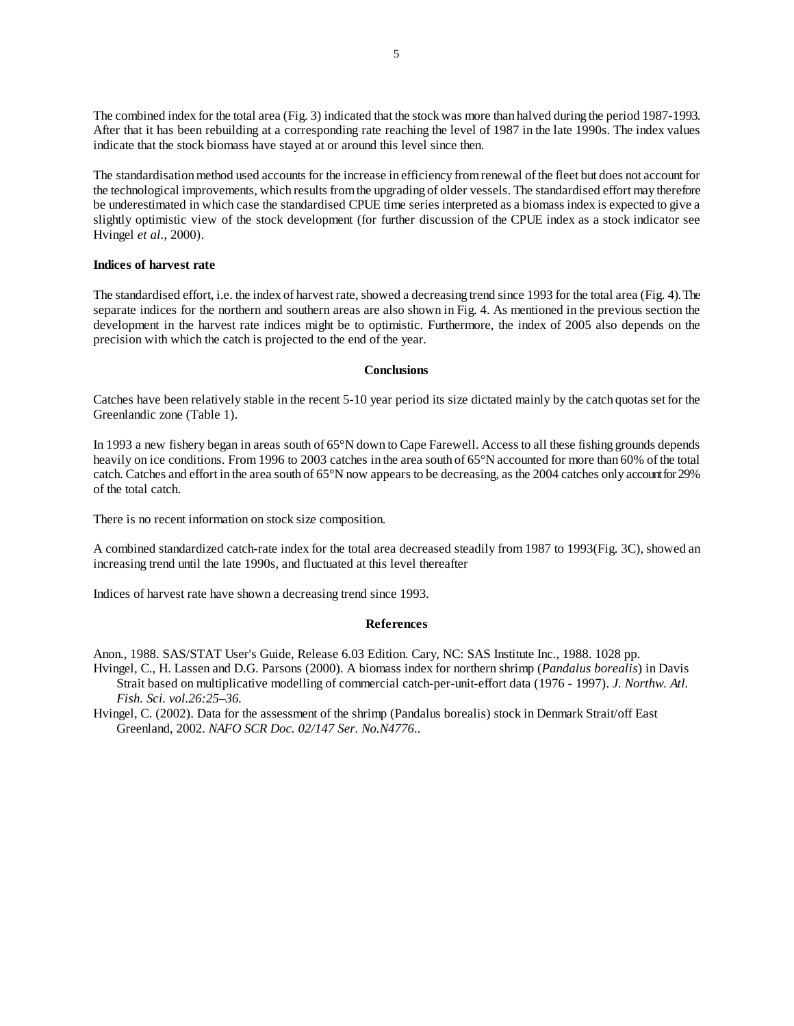The combined index for the total area (Fig. 3) indicated that the stock was more than halved during the period 1987-1993. After that it has been rebuilding at a corresponding rate reaching the level of 1987 in the late 1990s. The index values indicate that the stock biomass have stayed at or around this level since then.

The standardisation method used accounts for the increase in efficiency from renewal of the fleet but does not account for the technological improvements, which results from the upgrading of older vessels. The standardised effort may therefore be underestimated in which case the standardised CPUE time series interpreted as a biomass index is expected to give a slightly optimistic view of the stock development (for further discussion of the CPUE index as a stock indicator see Hvingel *et al.*, 2000).

## **Indices of harvest rate**

The standardised effort, i.e. the index of harvest rate, showed a decreasing trend since 1993 for the total area (Fig. 4). The separate indices for the northern and southern areas are also shown in Fig. 4. As mentioned in the previous section the development in the harvest rate indices might be to optimistic. Furthermore, the index of 2005 also depends on the precision with which the catch is projected to the end of the year.

### **Conclusions**

Catches have been relatively stable in the recent 5-10 year period its size dictated mainly by the catch quotas set for the Greenlandic zone (Table 1).

In 1993 a new fishery began in areas south of 65°N down to Cape Farewell. Access to all these fishing grounds depends heavily on ice conditions. From 1996 to 2003 catches in the area south of 65°N accounted for more than 60% of the total catch. Catches and effort in the area south of 65°N now appears to be decreasing, as the 2004 catches only account for 29% of the total catch.

There is no recent information on stock size composition.

A combined standardized catch-rate index for the total area decreased steadily from 1987 to 1993(Fig. 3C), showed an increasing trend until the late 1990s, and fluctuated at this level thereafter

Indices of harvest rate have shown a decreasing trend since 1993.

#### **References**

Anon., 1988. SAS/STAT User's Guide, Release 6.03 Edition. Cary, NC: SAS Institute Inc., 1988. 1028 pp.

Hvingel, C., H. Lassen and D.G. Parsons (2000). A biomass index for northern shrimp (*Pandalus borealis*) in Davis Strait based on multiplicative modelling of commercial catch-per-unit-effort data (1976 - 1997). *J. Northw. Atl. Fish. Sci. vol.26:25–36.*

Hvingel, C. (2002). Data for the assessment of the shrimp (Pandalus borealis) stock in Denmark Strait/off East Greenland, 2002. *NAFO SCR Doc. 02/147 Ser. No.N4776*..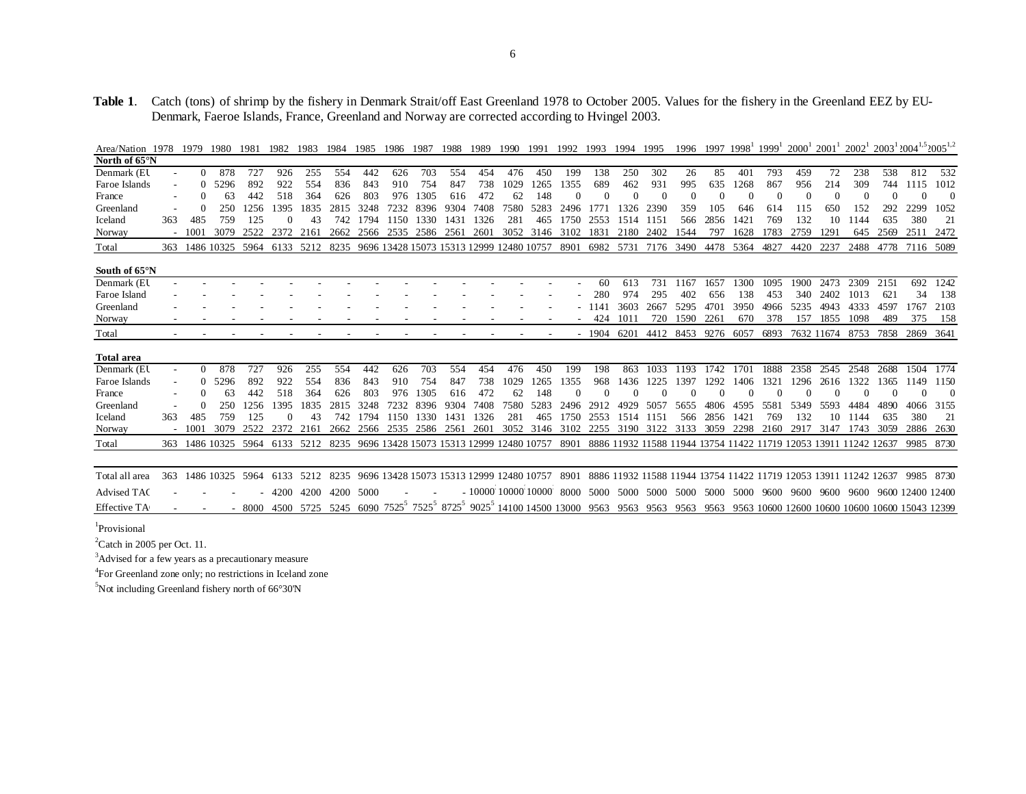# **Table 1**. Catch (tons) of shrimp by the fishery in Denmark Strait/off East Greenland 1978 to October 2005. Values for the fishery in the Greenland EEZ by EU-Denmark, Faeroe Islands, France, Greenland and Norway are corrected according to Hvingel 2003.

| Area/Nation 1978    |     | 1979     | 1980           | 1981  | 1982      | 1983 | 1984 | 1985                                          | 1986 | 1987 | 1988 | 1989 | 1990                            | 1991 | 1992                                                                                                               | 1993 | 1994      | 1995                | 1996 | 1997 | 1998 | 1999' | $2000^{\circ}$ | 2001' | $2002^1$                                                              |      | $2003^{1}$ $2004^{1,5}$ $2005^{1,2}$ |          |
|---------------------|-----|----------|----------------|-------|-----------|------|------|-----------------------------------------------|------|------|------|------|---------------------------------|------|--------------------------------------------------------------------------------------------------------------------|------|-----------|---------------------|------|------|------|-------|----------------|-------|-----------------------------------------------------------------------|------|--------------------------------------|----------|
| North of 65°N       |     |          |                |       |           |      |      |                                               |      |      |      |      |                                 |      |                                                                                                                    |      |           |                     |      |      |      |       |                |       |                                                                       |      |                                      |          |
| Denmark (EU         |     | $\Omega$ | 878            | 727   | 926       | 255  | 554  | 442                                           | 626  | 703  | 554  | 454  | 476                             | 450  | 199                                                                                                                | 138  | 250       | 302                 | 26   | 85   | 401  | 793   | 459            | 72    | 238                                                                   | 538  | 812                                  | 532      |
| Faroe Islands       |     |          | 5296           | 892   | 922       | 554  | 836  | 843                                           | 910  | 754  | 847  | 738  | 1029                            | 1265 | 1355                                                                                                               | 689  | 462       | 931                 | 995  | 635  | 1268 | 867   | 956            | 214   | 309                                                                   | 744  | 1115                                 | 1012     |
| France              |     |          | 63             | 442   | 518       | 364  | 626  | 803                                           | 976  | 1305 | 616  | 472  | 62                              | 148  |                                                                                                                    |      |           |                     |      |      |      |       |                |       |                                                                       |      |                                      | $\Omega$ |
| Greenland           |     |          | 250            | 1256  | 1395      | 1835 | 2815 | 3248                                          | 7232 | 8396 | 9304 | 7408 | 7580                            | 5283 | 2496                                                                                                               | 1771 | 1326      | 2390                | 359  | 105  | 646  | 614   | 115            | 650   | 152                                                                   | 292  | 2299                                 | 1052     |
| Iceland             | 363 | 485      | 759            | 125   |           | 43   | 742  | 1794                                          | 1150 | 1330 | 1431 | 1326 | 281                             | 465  | 1750                                                                                                               | 2553 | 1514      | 1151                | 566  | 2856 | 1421 | 769   | 132            | 10    | 1144                                                                  | 635  | 380                                  | 21       |
| Norway              |     | 1001     | 3079           | 2522  | 2372      | 2161 | 2662 | 2566                                          | 2535 | 2586 | 2561 | 2601 | 3052 3146                       |      | 3102                                                                                                               | 1831 | 2180      | 2402                | 1544 | 797  | 1628 | 1783  | 2759           | 1291  | 645                                                                   | 2569 | 2511                                 | 2472     |
| Total               | 363 |          | 1486 10325     | 5964  | 6133      | 5212 | 8235 | 9696 13428 15073 15313 12999 12480 10757      |      |      |      |      |                                 |      | 8901                                                                                                               |      | 6982 5731 | 7176                | 3490 | 4478 | 5364 | 4827  | 4420           | 2237  | 2488                                                                  | 4778 | 7116 5089                            |          |
|                     |     |          |                |       |           |      |      |                                               |      |      |      |      |                                 |      |                                                                                                                    |      |           |                     |      |      |      |       |                |       |                                                                       |      |                                      |          |
| South of 65°N       |     |          |                |       |           |      |      |                                               |      |      |      |      |                                 |      |                                                                                                                    |      |           |                     |      |      |      |       |                |       |                                                                       |      |                                      |          |
| Denmark (EU         |     |          |                |       |           |      |      |                                               |      |      |      |      |                                 |      |                                                                                                                    | 60   | 613       | 731                 | 1167 | 1657 | 1300 | 1095  | 1900           | 2473  | 2309                                                                  | 2151 | 692                                  | 1242     |
| Faroe Island        |     |          |                |       |           |      |      |                                               |      |      |      |      |                                 |      |                                                                                                                    | 280  | 974       | 295                 | 402  | 656  | 138  | 453   | 340            | 2402  | 1013                                                                  | 621  | 34                                   | 138      |
| Greenland           |     |          |                |       |           |      |      |                                               |      |      |      |      |                                 |      |                                                                                                                    | 1141 | 3603      | 2667                | 5295 | 4701 | 3950 | 4966  | 5235           | 4943  | 4333                                                                  | 4597 | 1767                                 | 2103     |
| Norway              |     |          |                |       |           |      |      |                                               |      |      |      |      |                                 |      |                                                                                                                    | 424  | 1011      | 720                 | 1590 | 2261 | 670  | 378   | 157            | 1855  | 1098                                                                  | 489  | 375                                  | 158      |
| Total               |     |          |                |       |           |      |      |                                               |      |      |      |      |                                 |      |                                                                                                                    | 1904 | 6201      | 4412                | 8453 | 9276 | 6057 | 6893  | 7632 11674     |       | 8753                                                                  | 7858 | 2869                                 | 3641     |
|                     |     |          |                |       |           |      |      |                                               |      |      |      |      |                                 |      |                                                                                                                    |      |           |                     |      |      |      |       |                |       |                                                                       |      |                                      |          |
| <b>Total area</b>   |     |          |                |       |           |      |      |                                               |      |      |      |      |                                 |      |                                                                                                                    |      |           |                     |      |      |      |       |                |       |                                                                       |      |                                      |          |
| Denmark (EU         |     | $\theta$ | 878            | 727   | 926       | 255  | 554  | 442                                           | 626  | 703  | 554  | 454  | 476                             | 450  | 199                                                                                                                | 198  | 863       | 1033                | 1193 | 1742 | 1701 | 1888  | 2358           | 2545  | 2548                                                                  | 2688 | 1504                                 | 1774     |
| Faroe Islands       |     | $\theta$ | 5296           | 892   | 922       | 554  | 836  | 843                                           | 910  | 754  | 847  | 738  | 1029                            | 1265 | 1355                                                                                                               | 968  | 1436      | 1225                | 1397 | 1292 | 1406 | 1321  | 1296           | 2616  | 1322                                                                  | 1365 | 1149                                 | 1150     |
| France              |     |          | 63             | 442   | 518       | 364  | 626  | 803                                           | 976  | 1305 | 616  | 472  | 62                              | 148  |                                                                                                                    |      |           |                     |      |      |      |       |                |       |                                                                       |      |                                      | $\Omega$ |
| Greenland           |     |          | 250            | 1256  | 395       | 1835 | 2815 | 3248                                          | 7232 | 8396 | 9304 | 7408 | 7580                            | 5283 | 2496                                                                                                               | 2912 | 4929      | 5057                | 5655 | 4806 | 4595 | 5581  | 5349           | 5593  | 4484                                                                  | 4890 | 4066                                 | 3155     |
| Iceland             | 363 | 485      | 759            | 125   |           | 43   | 742  | 1794                                          | 1150 | 1330 | 1431 | 1326 | 281                             | 465  | 1750                                                                                                               | 2553 | 1514      | 1151                | 566  | 2856 | 142  | 769   | 132            | 10    | 1144                                                                  | 635  | 380                                  | 21       |
| Norway              |     | 1001     | 3079           | 2522  | 2372      | 2161 | 2662 | 2566                                          | 2535 | 2586 | 2561 | 2601 |                                 |      | 3052 3146 3102                                                                                                     |      |           | 2255 3190 3122 3133 |      | 3059 | 2298 | 2160  | 2917           | 3147  | 1743                                                                  | 3059 | 2886                                 | 2630     |
| Total               |     |          | 363 1486 10325 | 5964  | 6133 5212 |      |      | 8235 9696 13428 15073 15313 12999 12480 10757 |      |      |      |      |                                 |      |                                                                                                                    |      |           |                     |      |      |      |       |                |       | 8901 8886 11932 11588 11944 13754 11422 11719 12053 13911 11242 12637 |      | 9985                                 | 8730     |
|                     |     |          |                |       |           |      |      |                                               |      |      |      |      |                                 |      |                                                                                                                    |      |           |                     |      |      |      |       |                |       |                                                                       |      |                                      |          |
| Total all area      | 363 |          | 1486 10325     | 5964  | 6133      | 5212 |      | 8235 9696 13428 15073 15313 12999 12480 10757 |      |      |      |      |                                 |      | 8901                                                                                                               |      |           |                     |      |      |      |       |                |       | 8886 11932 11588 11944 13754 11422 11719 12053 13911 11242 12637      |      | 9985 8730                            |          |
| <b>Advised TAC</b>  |     |          |                |       | 4200      | 4200 | 4200 | 5000                                          |      |      |      |      | $-10000$ $10000$ $10000$ $8000$ |      |                                                                                                                    | 5000 |           | 5000 5000 5000      |      | 5000 | 5000 | 9600  | 9600           | 9600  | 9600                                                                  |      | 9600 12400 12400                     |          |
| <b>Effective TA</b> |     |          |                | -8000 |           |      |      |                                               |      |      |      |      |                                 |      | 4500 5725 5245 6090 7525 <sup>5</sup> 7525 <sup>5</sup> 8725 <sup>5</sup> 9025 <sup>5</sup> 14100 14500 13000 9563 |      | 9563 9563 |                     | 9563 | 9563 |      |       |                |       | 9563 10600 12600 10600 10600 10600 15043 12399                        |      |                                      |          |

<sup>1</sup>Provisional

 $2$ Catch in 2005 per Oct. 11.

3Advised for a few years as a precautionary measure

4For Greenland zone only; no restrictions in Iceland zone

 $5$ Not including Greenland fishery north of 66 $\degree$ 30'N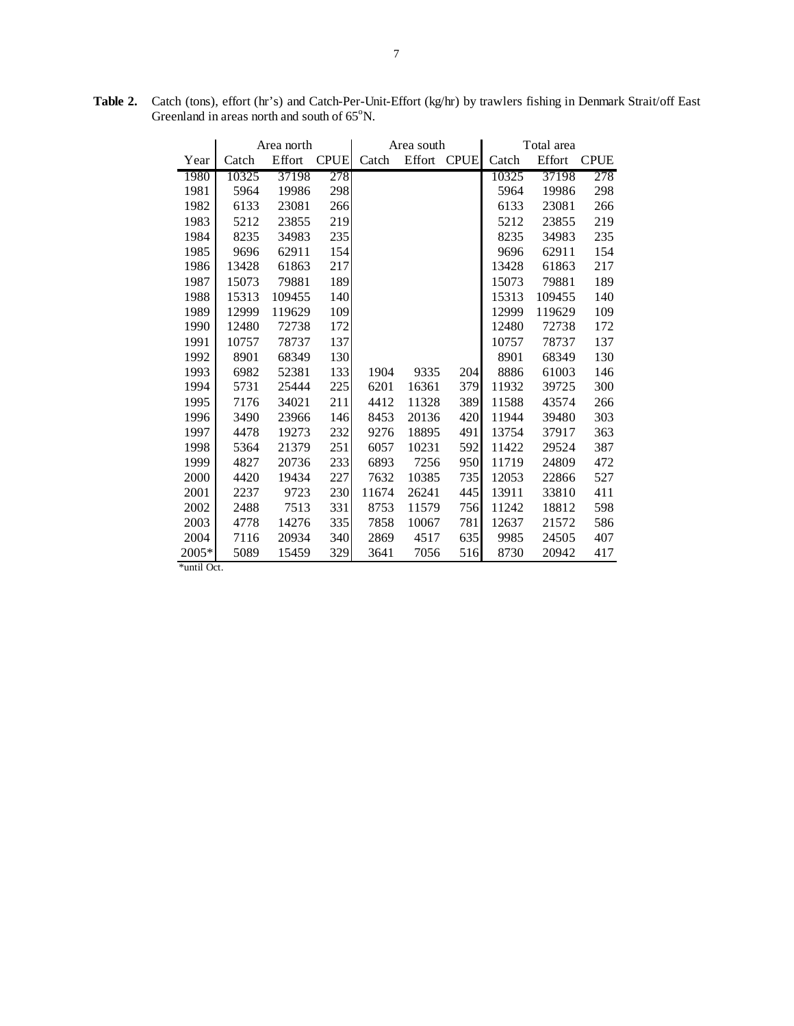|         |       | Area north |             |       | Area south |             |       | Total area |             |
|---------|-------|------------|-------------|-------|------------|-------------|-------|------------|-------------|
| Year    | Catch | Effort     | <b>CPUE</b> | Catch | Effort     | <b>CPUE</b> | Catch | Effort     | <b>CPUE</b> |
| 1980    | 10325 | 37198      | 278         |       |            |             | 10325 | 37198      | 278         |
| 1981    | 5964  | 19986      | 298         |       |            |             | 5964  | 19986      | 298         |
| 1982    | 6133  | 23081      | 266         |       |            |             | 6133  | 23081      | 266         |
| 1983    | 5212  | 23855      | 219         |       |            |             | 5212  | 23855      | 219         |
| 1984    | 8235  | 34983      | 235         |       |            |             | 8235  | 34983      | 235         |
| 1985    | 9696  | 62911      | 154         |       |            |             | 9696  | 62911      | 154         |
| 1986    | 13428 | 61863      | 217         |       |            |             | 13428 | 61863      | 217         |
| 1987    | 15073 | 79881      | 189         |       |            |             | 15073 | 79881      | 189         |
| 1988    | 15313 | 109455     | 140         |       |            |             | 15313 | 109455     | 140         |
| 1989    | 12999 | 119629     | 109         |       |            |             | 12999 | 119629     | 109         |
| 1990    | 12480 | 72738      | 172         |       |            |             | 12480 | 72738      | 172         |
| 1991    | 10757 | 78737      | 137         |       |            |             | 10757 | 78737      | 137         |
| 1992    | 8901  | 68349      | 130         |       |            |             | 8901  | 68349      | 130         |
| 1993    | 6982  | 52381      | 133         | 1904  | 9335       | 204         | 8886  | 61003      | 146         |
| 1994    | 5731  | 25444      | 225         | 6201  | 16361      | 379         | 11932 | 39725      | 300         |
| 1995    | 7176  | 34021      | 211         | 4412  | 11328      | 389         | 11588 | 43574      | 266         |
| 1996    | 3490  | 23966      | 146         | 8453  | 20136      | 420         | 11944 | 39480      | 303         |
| 1997    | 4478  | 19273      | 232         | 9276  | 18895      | 491         | 13754 | 37917      | 363         |
| 1998    | 5364  | 21379      | 251         | 6057  | 10231      | 592         | 11422 | 29524      | 387         |
| 1999    | 4827  | 20736      | 233         | 6893  | 7256       | 950         | 11719 | 24809      | 472         |
| 2000    | 4420  | 19434      | 227         | 7632  | 10385      | 735         | 12053 | 22866      | 527         |
| 2001    | 2237  | 9723       | 230         | 11674 | 26241      | 445         | 13911 | 33810      | 411         |
| 2002    | 2488  | 7513       | 331         | 8753  | 11579      | 756         | 11242 | 18812      | 598         |
| 2003    | 4778  | 14276      | 335         | 7858  | 10067      | 781         | 12637 | 21572      | 586         |
| 2004    | 7116  | 20934      | 340         | 2869  | 4517       | 635         | 9985  | 24505      | 407         |
| $2005*$ | 5089  | 15459      | 329         | 3641  | 7056       | 516         | 8730  | 20942      | 417         |

**Table 2.** Catch (tons), effort (hr's) and Catch-Per-Unit-Effort (kg/hr) by trawlers fishing in Denmark Strait/off East Greenland in areas north and south of  $65^{\circ}$ N.

\*until Oct.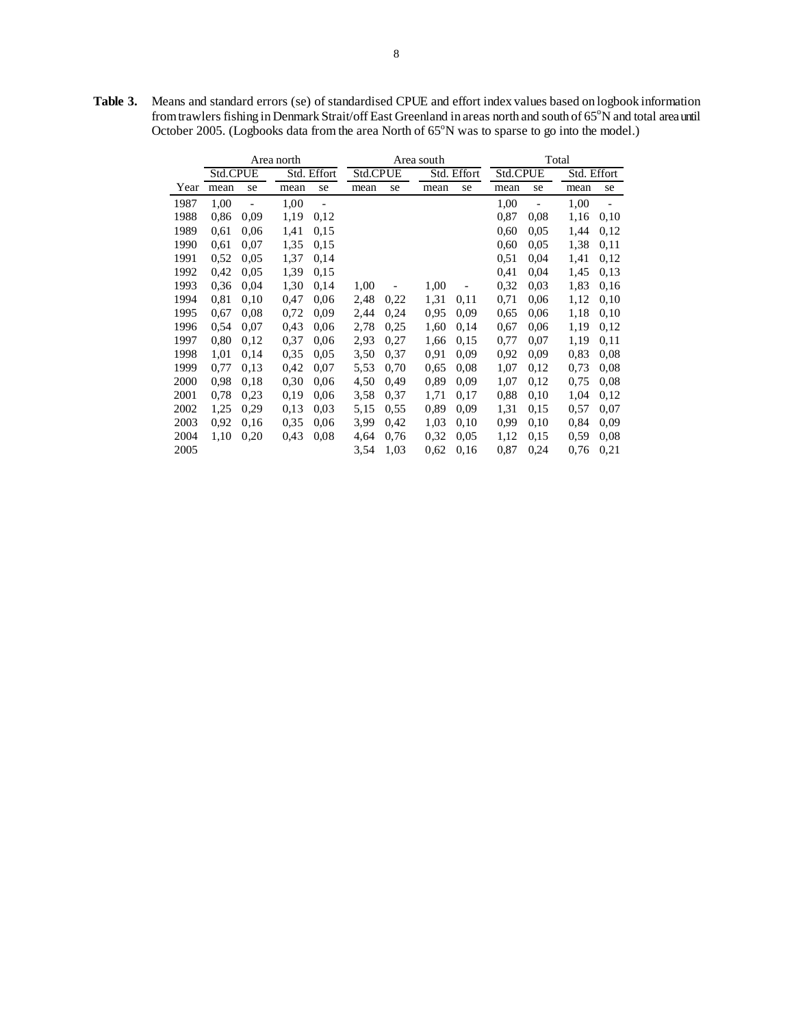|      |          |      | Area north |                          |      |          | Area south |             | Total    |      |             |                              |  |
|------|----------|------|------------|--------------------------|------|----------|------------|-------------|----------|------|-------------|------------------------------|--|
|      | Std.CPUE |      |            | Std. Effort              |      | Std.CPUE |            | Std. Effort | Std.CPUE |      | Std. Effort |                              |  |
| Year | mean     | se   | mean       | se                       | mean | se       | mean       | se          | mean     | se   | mean        | se                           |  |
| 1987 | 1,00     |      | 1,00       | $\overline{\phantom{0}}$ |      |          |            |             | 1,00     |      | 1,00        | $\qquad \qquad \blacksquare$ |  |
| 1988 | 0,86     | 0.09 | 1,19       | 0,12                     |      |          |            |             | 0,87     | 0,08 | 1,16        | 0,10                         |  |
| 1989 | 0.61     | 0,06 | 1,41       | 0.15                     |      |          |            |             | 0,60     | 0.05 | 1,44        | 0,12                         |  |
| 1990 | 0.61     | 0.07 | 1,35       | 0.15                     |      |          |            |             | 0,60     | 0.05 | 1,38        | 0.11                         |  |
| 1991 | 0.52     | 0.05 | 1,37       | 0,14                     |      |          |            |             | 0.51     | 0,04 | 1,41        | 0,12                         |  |
| 1992 | 0,42     | 0.05 | 1,39       | 0,15                     |      |          |            |             | 0.41     | 0.04 | 1,45        | 0.13                         |  |
| 1993 | 0,36     | 0,04 | 1,30       | 0,14                     | 1,00 |          | 1,00       |             | 0.32     | 0,03 | 1,83        | 0,16                         |  |
| 1994 | 0.81     | 0,10 | 0.47       | 0,06                     | 2,48 | 0.22     | 1,31       | 0.11        | 0,71     | 0,06 | 1,12        | 0,10                         |  |
| 1995 | 0,67     | 0.08 | 0.72       | 0.09                     | 2,44 | 0.24     | 0.95       | 0.09        | 0.65     | 0,06 | 1,18        | 0,10                         |  |
| 1996 | 0.54     | 0,07 | 0.43       | 0,06                     | 2,78 | 0.25     | 1,60       | 0.14        | 0,67     | 0,06 | 1,19        | 0.12                         |  |
| 1997 | 0.80     | 0,12 | 0.37       | 0,06                     | 2,93 | 0,27     | 1,66       | 0.15        | 0,77     | 0,07 | 1,19        | 0,11                         |  |
| 1998 | 1,01     | 0.14 | 0.35       | 0.05                     | 3,50 | 0.37     | 0.91       | 0.09        | 0,92     | 0,09 | 0.83        | 0,08                         |  |
| 1999 | 0,77     | 0,13 | 0,42       | 0.07                     | 5,53 | 0.70     | 0.65       | 0.08        | 1,07     | 0,12 | 0.73        | 0,08                         |  |
| 2000 | 0.98     | 0,18 | 0.30       | 0,06                     | 4,50 | 0.49     | 0.89       | 0.09        | 1,07     | 0,12 | 0,75        | 0,08                         |  |
| 2001 | 0.78     | 0,23 | 0,19       | 0,06                     | 3.58 | 0.37     | 1,71       | 0,17        | 0.88     | 0,10 | 1,04        | 0,12                         |  |
| 2002 | 1,25     | 0,29 | 0.13       | 0.03                     | 5,15 | 0.55     | 0.89       | 0,09        | 1,31     | 0,15 | 0,57        | 0,07                         |  |
| 2003 | 0.92     | 0,16 | 0.35       | 0,06                     | 3,99 | 0.42     | 1,03       | 0,10        | 0.99     | 0,10 | 0,84        | 0,09                         |  |
| 2004 | 1,10     | 0,20 | 0.43       | 0.08                     | 4,64 | 0.76     | 0,32       | 0.05        | 1,12     | 0.15 | 0.59        | 0,08                         |  |
| 2005 |          |      |            |                          | 3,54 | 1,03     | 0.62       | 0,16        | 0,87     | 0,24 | 0,76        | 0,21                         |  |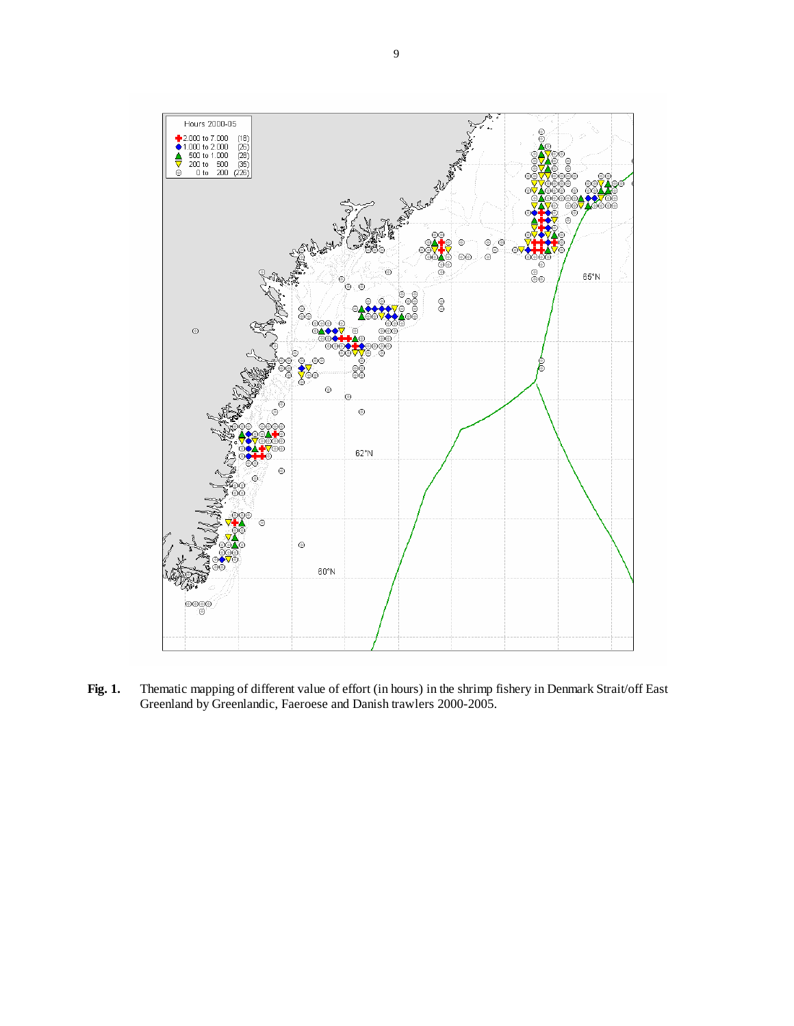

**Fig. 1.** Thematic mapping of different value of effort (in hours) in the shrimp fishery in Denmark Strait/off East Greenland by Greenlandic, Faeroese and Danish trawlers 2000-2005.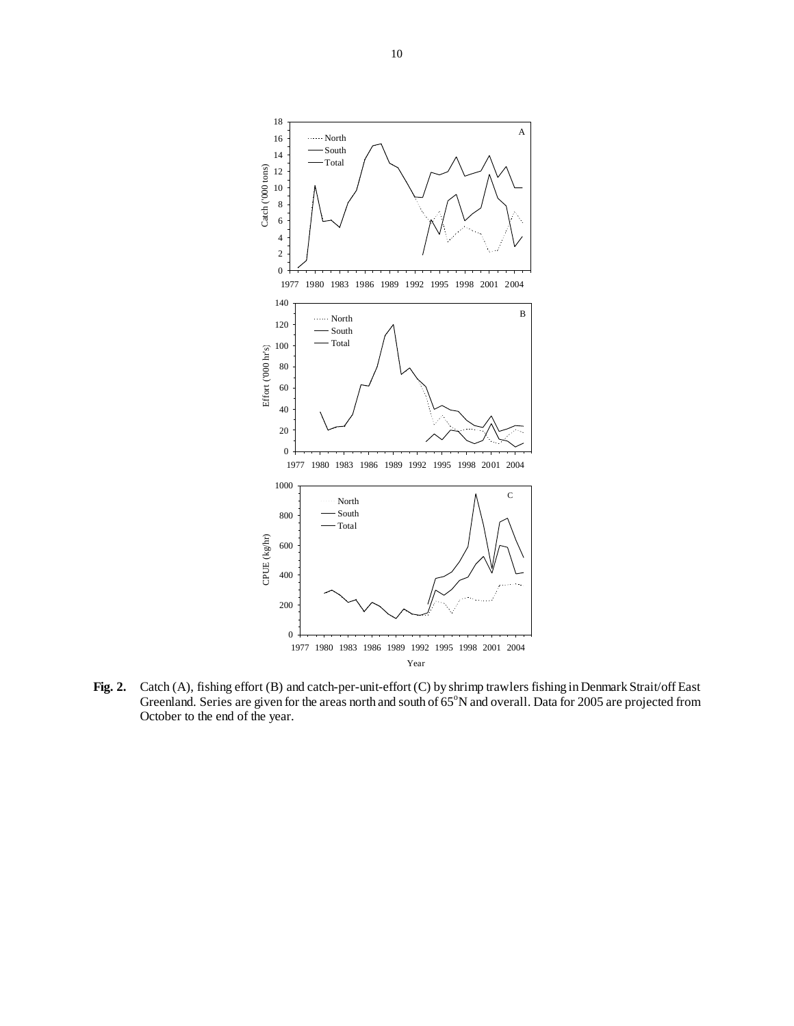

**Fig. 2.** Catch (A), fishing effort (B) and catch-per-unit-effort (C) by shrimp trawlers fishing in Denmark Strait/off East Greenland. Series are given for the areas north and south of 65°N and overall. Data for 2005 are projected from October to the end of the year.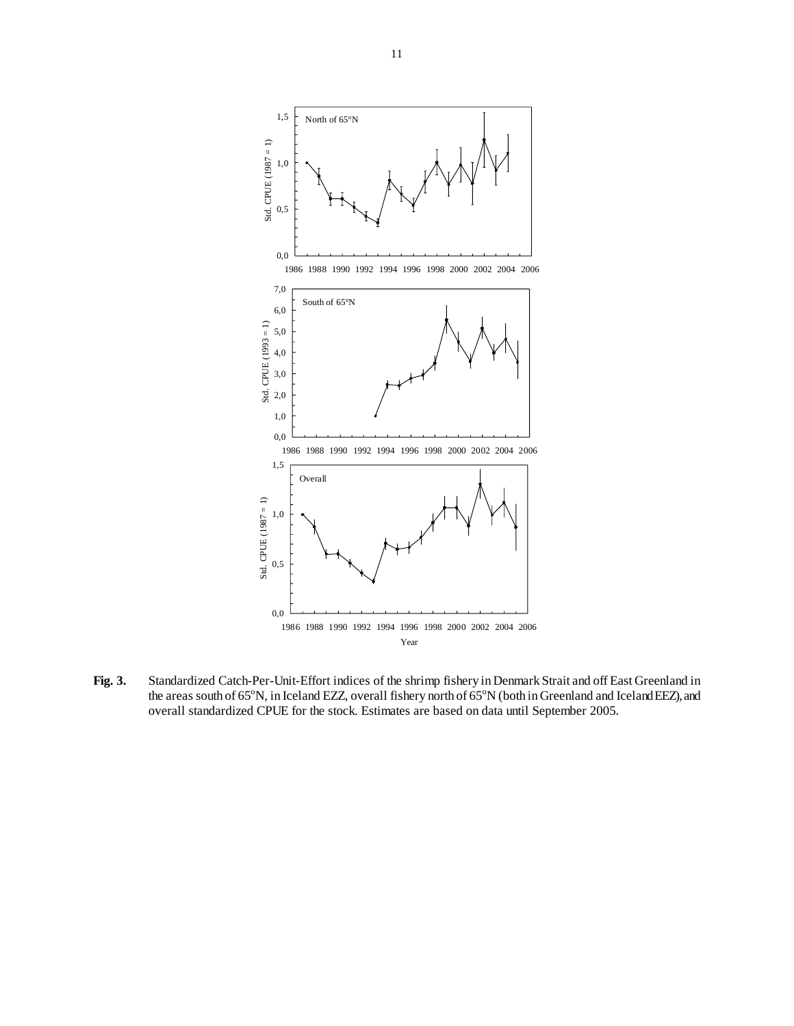

**Fig. 3.** Standardized Catch-Per-Unit-Effort indices of the shrimp fishery in Denmark Strait and off East Greenland in the areas south of  $65^{\circ}$ N, in Iceland EZZ, overall fishery north of  $65^{\circ}$ N (both in Greenland and Iceland EEZ), and overall standardized CPUE for the stock. Estimates are based on data until September 2005.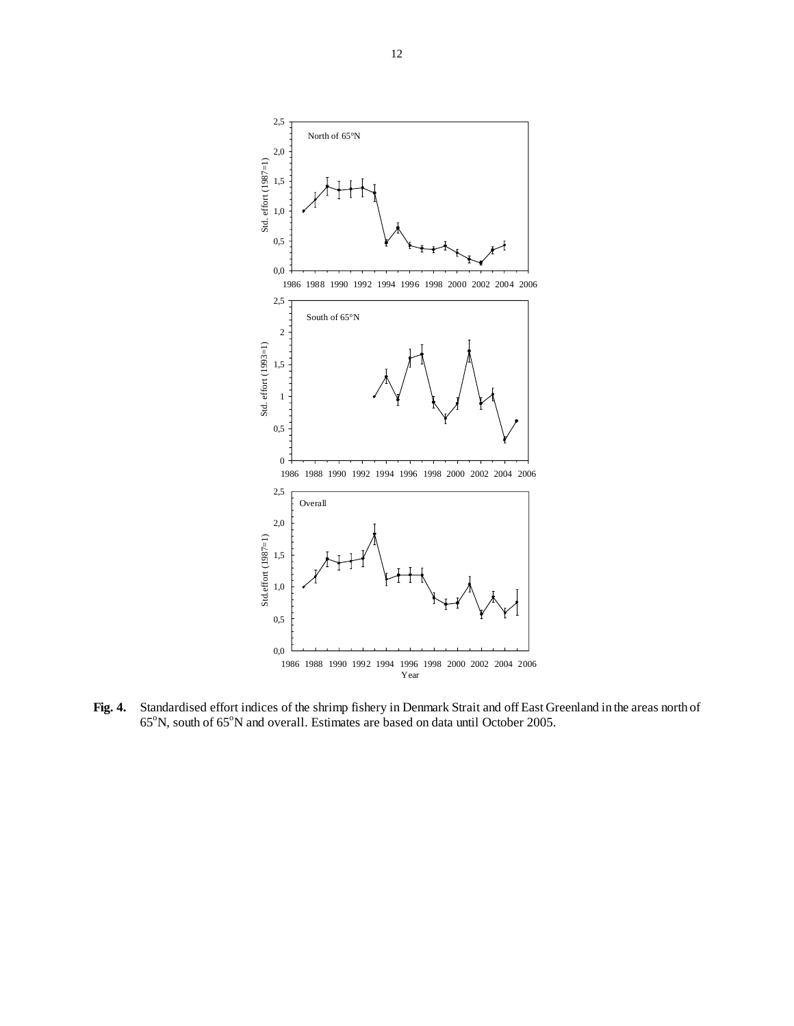

**Fig. 4.** Standardised effort indices of the shrimp fishery in Denmark Strait and off East Greenland in the areas north of 65°N, south of 65°N and overall. Estimates are based on data until October 2005.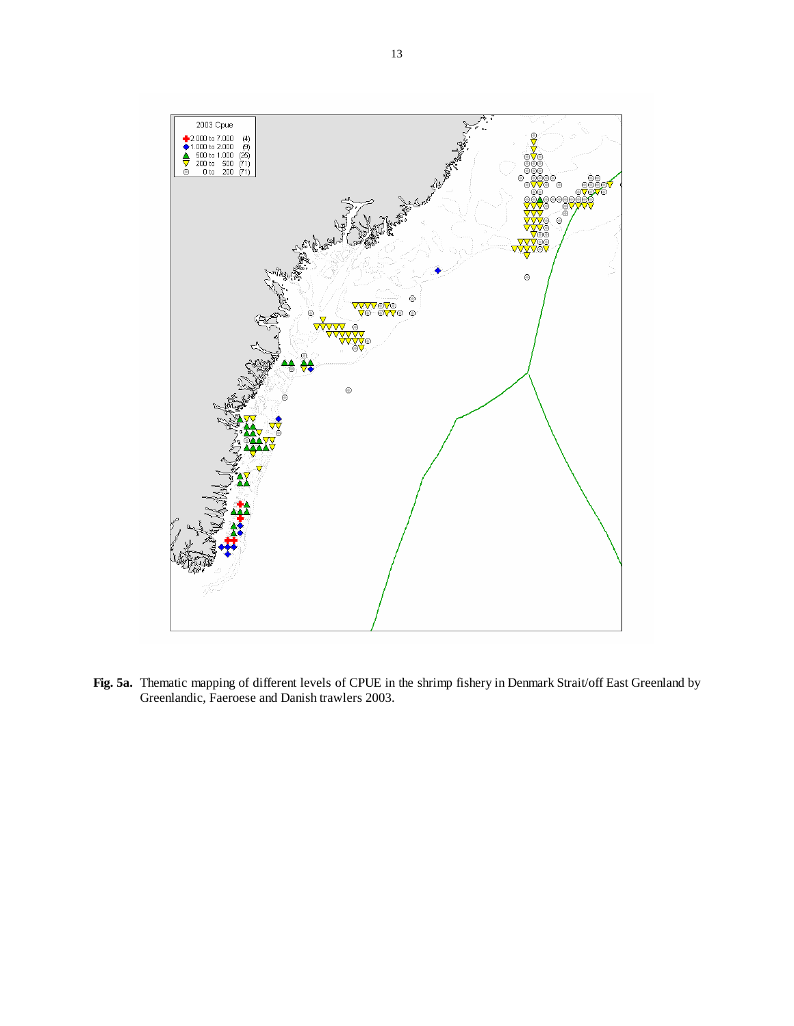

**Fig. 5a.** Thematic mapping of different levels of CPUE in the shrimp fishery in Denmark Strait/off East Greenland by Greenlandic, Faeroese and Danish trawlers 2003.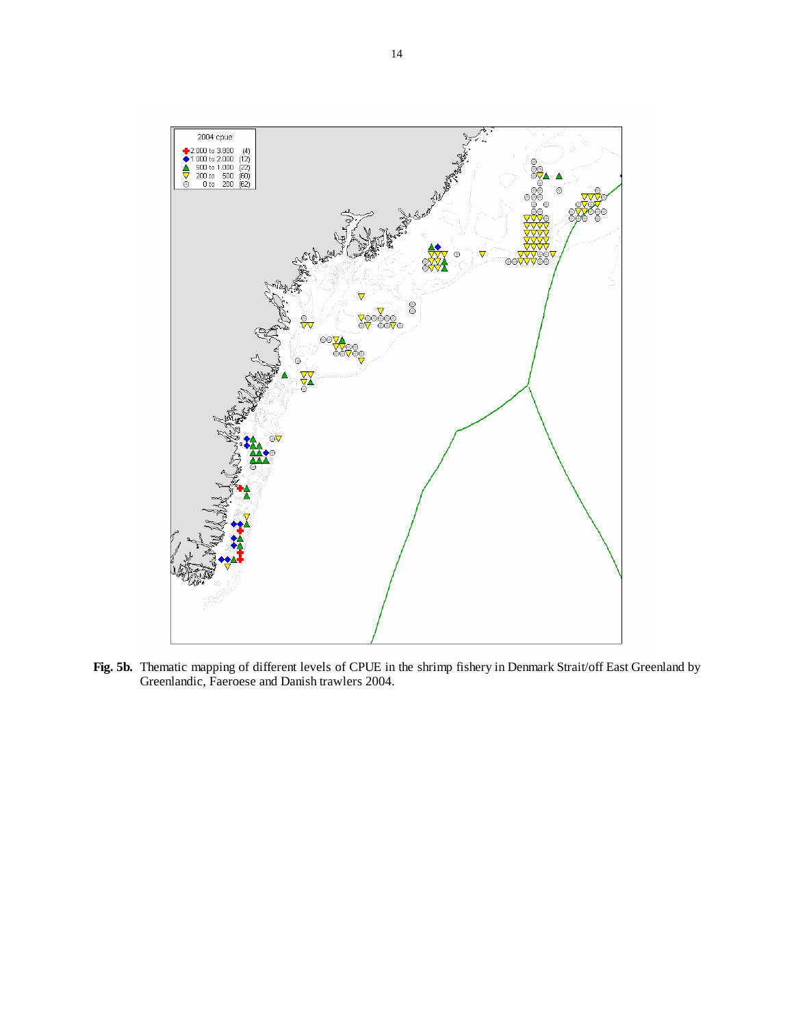

**Fig. 5b.** Thematic mapping of different levels of CPUE in the shrimp fishery in Denmark Strait/off East Greenland by Greenlandic, Faeroese and Danish trawlers 2004.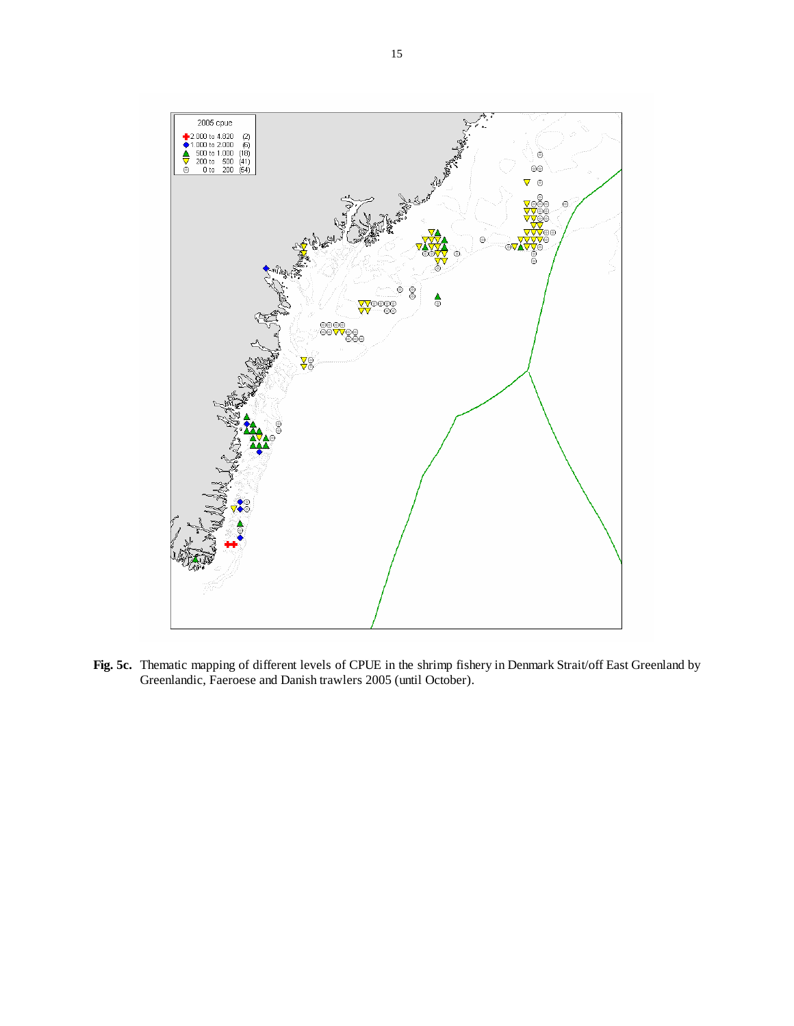

**Fig. 5c.** Thematic mapping of different levels of CPUE in the shrimp fishery in Denmark Strait/off East Greenland by Greenlandic, Faeroese and Danish trawlers 2005 (until October).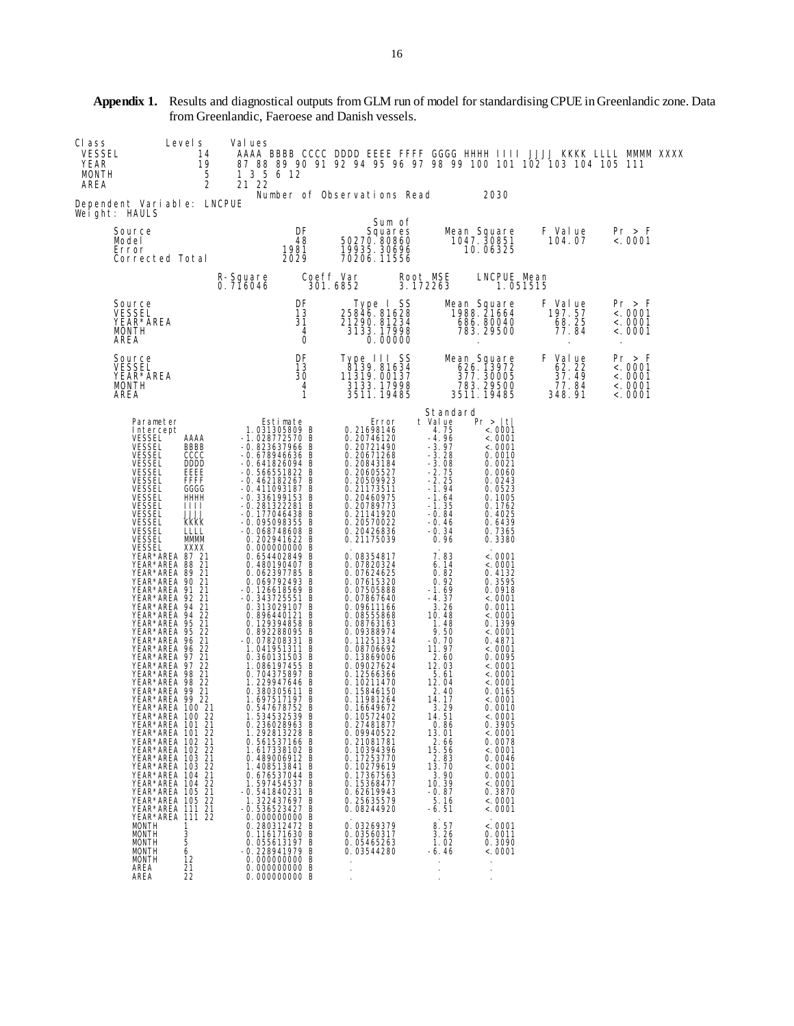| CI ass<br><b>VESSEL</b><br>YEAR<br>MONTH<br>AREA | Level s<br>14<br>19<br>5<br>2                                                                                                                                                                                                                                                                                                                                                                                                                                                                                                                                                                                                                                                                                                                                                                                                                                                                                                                                                                                                                                                                                                                | Val ues<br>1 3 5 6 12<br>21 22                                                                                                                                                                                                                                                                                                                                                                                                                                                                                                                                                                                                                                                                                                                                                                                                                                                                                                                                                                                                                                     |                                                             |                                                                                                                                                                                                                                                                                                                                                                                                                                                                                                                                                                                                                                                                                                                                                 |                                                                                                                                                                                                                                                                                                                                                                                                                                                                                                                  |                                                                                                                                                                                                                                                                                                                                                                                                                                                                                                                                                                     | AAAA BBBB CCCC DDDD EEEE FFFF GGGG HHHH IIII JJJJ KKKK LLLL MMMM XXXX<br>87 88 89 90 91 92 94 95 96 97 98 99 100 101 102 103 104 105 111         |                                                    |  |
|--------------------------------------------------|----------------------------------------------------------------------------------------------------------------------------------------------------------------------------------------------------------------------------------------------------------------------------------------------------------------------------------------------------------------------------------------------------------------------------------------------------------------------------------------------------------------------------------------------------------------------------------------------------------------------------------------------------------------------------------------------------------------------------------------------------------------------------------------------------------------------------------------------------------------------------------------------------------------------------------------------------------------------------------------------------------------------------------------------------------------------------------------------------------------------------------------------|--------------------------------------------------------------------------------------------------------------------------------------------------------------------------------------------------------------------------------------------------------------------------------------------------------------------------------------------------------------------------------------------------------------------------------------------------------------------------------------------------------------------------------------------------------------------------------------------------------------------------------------------------------------------------------------------------------------------------------------------------------------------------------------------------------------------------------------------------------------------------------------------------------------------------------------------------------------------------------------------------------------------------------------------------------------------|-------------------------------------------------------------|-------------------------------------------------------------------------------------------------------------------------------------------------------------------------------------------------------------------------------------------------------------------------------------------------------------------------------------------------------------------------------------------------------------------------------------------------------------------------------------------------------------------------------------------------------------------------------------------------------------------------------------------------------------------------------------------------------------------------------------------------|------------------------------------------------------------------------------------------------------------------------------------------------------------------------------------------------------------------------------------------------------------------------------------------------------------------------------------------------------------------------------------------------------------------------------------------------------------------------------------------------------------------|---------------------------------------------------------------------------------------------------------------------------------------------------------------------------------------------------------------------------------------------------------------------------------------------------------------------------------------------------------------------------------------------------------------------------------------------------------------------------------------------------------------------------------------------------------------------|--------------------------------------------------------------------------------------------------------------------------------------------------|----------------------------------------------------|--|
|                                                  | Dependent Variable: LNCPUE<br>Weight: HAULS                                                                                                                                                                                                                                                                                                                                                                                                                                                                                                                                                                                                                                                                                                                                                                                                                                                                                                                                                                                                                                                                                                  |                                                                                                                                                                                                                                                                                                                                                                                                                                                                                                                                                                                                                                                                                                                                                                                                                                                                                                                                                                                                                                                                    |                                                             | Number of Observations Read                                                                                                                                                                                                                                                                                                                                                                                                                                                                                                                                                                                                                                                                                                                     |                                                                                                                                                                                                                                                                                                                                                                                                                                                                                                                  | 2030                                                                                                                                                                                                                                                                                                                                                                                                                                                                                                                                                                |                                                                                                                                                  |                                                    |  |
|                                                  | Source<br>Model<br>Error<br>Corrected Total                                                                                                                                                                                                                                                                                                                                                                                                                                                                                                                                                                                                                                                                                                                                                                                                                                                                                                                                                                                                                                                                                                  | 01 - 2011<br>1981 - 1981 - 48<br>1981 - 19935، 1981 - 1993<br>2029 - 2029 - 2029                                                                                                                                                                                                                                                                                                                                                                                                                                                                                                                                                                                                                                                                                                                                                                                                                                                                                                                                                                                   |                                                             | Sum of                                                                                                                                                                                                                                                                                                                                                                                                                                                                                                                                                                                                                                                                                                                                          |                                                                                                                                                                                                                                                                                                                                                                                                                                                                                                                  |                                                                                                                                                                                                                                                                                                                                                                                                                                                                                                                                                                     | Mean Square      F  Val ue        Pr  >  F<br>1047. 30851        104. 07       <. 0001<br>10. 06325                                              |                                                    |  |
|                                                  |                                                                                                                                                                                                                                                                                                                                                                                                                                                                                                                                                                                                                                                                                                                                                                                                                                                                                                                                                                                                                                                                                                                                              | R-Square Coeff Var Root MSE LNCPUE Mean<br>0.716046 301.6852 3.172263 1.051515                                                                                                                                                                                                                                                                                                                                                                                                                                                                                                                                                                                                                                                                                                                                                                                                                                                                                                                                                                                     |                                                             |                                                                                                                                                                                                                                                                                                                                                                                                                                                                                                                                                                                                                                                                                                                                                 |                                                                                                                                                                                                                                                                                                                                                                                                                                                                                                                  |                                                                                                                                                                                                                                                                                                                                                                                                                                                                                                                                                                     |                                                                                                                                                  |                                                    |  |
|                                                  | Source<br>VESSEL<br>YEAR*AREA<br>MONTH<br>AREA                                                                                                                                                                                                                                                                                                                                                                                                                                                                                                                                                                                                                                                                                                                                                                                                                                                                                                                                                                                                                                                                                               |                                                                                                                                                                                                                                                                                                                                                                                                                                                                                                                                                                                                                                                                                                                                                                                                                                                                                                                                                                                                                                                                    | DF<br>13<br>31<br>$\overline{4}$<br>$\overline{\mathbf{0}}$ |                                                                                                                                                                                                                                                                                                                                                                                                                                                                                                                                                                                                                                                                                                                                                 |                                                                                                                                                                                                                                                                                                                                                                                                                                                                                                                  |                                                                                                                                                                                                                                                                                                                                                                                                                                                                                                                                                                     | Type I SS Mean Square F Value<br>25846.81628 1988.21664 197.57<br>21290.81234 686.80040 68.25<br>3133.17998 783.29500 77.84<br>0.00000 783.29500 | Pr > F<br>< .0001<br><.0001<br><.0001              |  |
|                                                  | Source<br>VESSEL<br>YEAR <sup>*</sup> AREA<br>MONTH<br>AREA                                                                                                                                                                                                                                                                                                                                                                                                                                                                                                                                                                                                                                                                                                                                                                                                                                                                                                                                                                                                                                                                                  |                                                                                                                                                                                                                                                                                                                                                                                                                                                                                                                                                                                                                                                                                                                                                                                                                                                                                                                                                                                                                                                                    | DF<br>13<br>30<br>$\overline{4}$<br>$\mathbf{1}$            | Type III SS        Mean Square<br>8139.81634              626.13972<br>11319.00137            377.30005<br>3133.17998          783.29500<br>3511.19485          3511.19485<br>11319. 00137<br>3133. 17998<br>3511. 19485                                                                                                                                                                                                                                                                                                                                                                                                                                                                                                                        |                                                                                                                                                                                                                                                                                                                                                                                                                                                                                                                  |                                                                                                                                                                                                                                                                                                                                                                                                                                                                                                                                                                     | F Value<br>$62.22$<br>$37.49$<br>$77.84$<br>$348.91$                                                                                             | Pr > F<br>< .0001<br>< .0001<br>< .0001<br>< .0001 |  |
|                                                  | Parameter<br>Intercept<br>Therce<br>VESSEL<br>VESSEL<br>VESSELL<br>VESSELL<br>VESSELL<br>VESSELL<br>VESSELL<br>VESSEL<br>VESSEL<br>AAAA<br>BBBB<br>CCCC<br><b>DDDD</b><br>EEEE<br><b>FFFF</b><br>GGGG<br>HHHH<br>HH<br><b>LLLL</b><br><b>KKKK</b><br><b>LLLL</b><br><b>VESSEL</b><br>MMMM<br><b>VESSEL</b><br>XXXX<br><b>YEAR*AREA 8721<br/>YEAR*AREA 8821<br/>YEAR*AREA 8921<br/>YEAR*AREA 9021<br/>YEAR*AREA 9121</b><br><b>FEAR*AREA 9221<br/> YEAR*AREA 9421<br/> YEAR*AREA 9422<br/> YEAR*AREA 9521<br/> YEAR*AREA 9522<br/> YEAR*AREA 9621<br/> YEAR*AREA 9621</b><br>YEAR*AREA 96 22<br>YEAR*AREA 97 21<br>YEAR*AREA 97 22<br>YEAR*AREA 98 21<br>YEAR*AREA 98 22<br>YEAR*AREA 99 21<br>YEAR*AREA 99 22<br>YEAR*AREA 100 21<br>YEAR*AREA 100 22<br>YEAR*AREA 101 21<br>YEAR*AREA 101 22<br>YEAR*AREA 102 21<br>YEAR*AREA 102 22<br>YEAR*AREA 103 21<br>YEAR*AREA 103 22<br>YEAR*AREA 104 21<br>YEAR*AREA 104 22<br>YEAR*AREA 105 21<br>YEAR*AREA 105 22<br>YEAR*AREA 111 21<br>YEAR*AREA 111 22<br><b>MONTH</b><br>L.<br><b>MONTH</b><br>3<br>5<br><b>MONTH</b><br><b>MONTH</b><br>6<br><b>MONTH</b><br>12<br>AREA<br>21<br>AREA<br>22 | Estimate<br>1.031305809 B<br>1.028772570 B<br>-0.823637966 B<br>-0.678946636 B<br>-0.641826094 B<br>-0. 646551822<br>-0. 66655182267 B<br>-0. 442182267 B<br>-0. 336199153 B<br>-0. 281322281 B<br>-0. 177046438 B<br>-0. 177046438 B<br>-0.095098355 B<br>-0.068748608 B<br>0.202941622 B<br>$0.000000000$ B<br>0.000000000 B<br>0.654402849 B<br>0.480190407 B<br>0.062397785 B<br>0.069792493 B<br>-0.126618569 B<br>-0.126618569 B<br>-0. 343725551 B<br>0. 313029107 B<br>0. 896440121 B<br>0. 390449121 B<br>0. 892288095 B<br>0. 892288095 B<br>0. 078208331 B<br>0. 360131503 B<br>1. 086197455 B<br>0. 704375867 B<br>0. 704375897 B<br>1. 229947646 B<br>0. 380305611 B<br>1.697517197<br>0.547678752<br>1.534532539<br>0.236028963 B<br>1.292813228 B<br>0.561537166 B<br>1.617338102 B<br>0.489006912 B<br>1.408513841 B<br>0.676537044 B<br>1.597454537 B<br>-0.541840231 B<br>1.322437697 B<br>-0.536523427<br>0.000000000 B<br>0.280312472 B<br>0.116171630 B<br>0.055613197 B<br>-0.228941979 B<br>0.000000000 B<br>0.000000000 B<br>0.000000000 B | B                                                           | Error<br>0. 21698146<br>0. 20746120<br>$\begin{array}{l} 0.20746120\\ 0.20721490\\ 0.20671268\\ 0.20843184\\ 0.20605527\\ 0.20509923\\ 0.21173517\\ 0.20789773\\ 0.21144920\\ 0.20570022\\ 0.20426836\\ 0.21175039\\ \end{array}$<br>0.08354817<br>0.07820324<br>0.07624625<br>0.07505888<br>0.07505888<br>0.07867640<br>0.09611166<br>0.08555868<br>0.08763163<br>0.09388974<br>0.11251334<br>0.08706692<br>0.13869006<br>0.09027624<br>$0.12566366$<br>0.10211470<br>0.15846150<br>0.11981264<br>0.16649672<br>0.10572402<br>0.27481877<br>0.09940522<br>0.21081781<br>0.10394396<br>0. 17253770<br>0. 10279619<br>0.17367563<br>0.15368477<br>0.62619943<br>0.25635579<br>0.08244920<br>0.03269379<br>0.03560317<br>0.05465263<br>0.03544280 | Standard<br>t Value<br>$4.75 - 4.96$<br>$-3.97$<br>$-3.28$<br>$-3.08$<br>$-2.75$<br>$-2.25$<br>$-1.94$<br>$-1.64$<br>$-1.35$<br>$-0.84$<br>$-0.46$<br>$-0.34$<br>0.96<br>7.83<br>6.14<br>0.82<br>0.92<br>$-1.69$<br>$-4.37$<br>3.26<br>10.48<br>1.48<br>9.50<br>$-0.70$<br>11.97<br>$\frac{2.60}{12.03}$<br>$\frac{5}{12}$ . 04<br>12. 04<br>2. 40<br>14.17<br>$3.29$<br>14.51<br>0.86<br>13.01<br>2.66<br>15.56<br>2.83<br>13.70<br>3.90<br>10.39<br>$-0.87$<br>5.16<br>-6. 51<br>8.57<br>3.26<br>1.02<br>-6.46 | Pr >  t <br><. 0001<br>< .0001<br>< .0001<br>$0.0010$<br>$0.0021$<br>$0.0060$<br>$0.0243$<br>$0.0523$<br>0.1005<br>0.1762<br>0.4025<br>0.6439<br>0.7365<br>0.3380<br>< .0001<br>< .0001<br>0.4132<br>0.3595<br>0.0918<br>< .0001<br>0.0011<br>$\leq 0001$<br>0.1399<br>< .0001<br>0.4871<br>< .0001<br>$0.0095$<br><. 0001<br>< .0001<br>$\frac{8.0001}{0.0165}$<br>< .0001<br>0.0010<br>$\leq 0001$<br>0.3905<br>< .0001<br>0.0078<br>< .0001<br>$0.0046$<br><.0001<br>0.0001<br>< .0001<br>0.3870<br>< .0001<br>< .0001<br>< .0001<br>0.0011<br>0.3090<br>< .0001 |                                                                                                                                                  |                                                    |  |

**Appendix 1.** Results and diagnostical outputs from GLM run of model for standardising CPUE in Greenlandic zone. Data from Greenlandic, Faeroese and Danish vessels.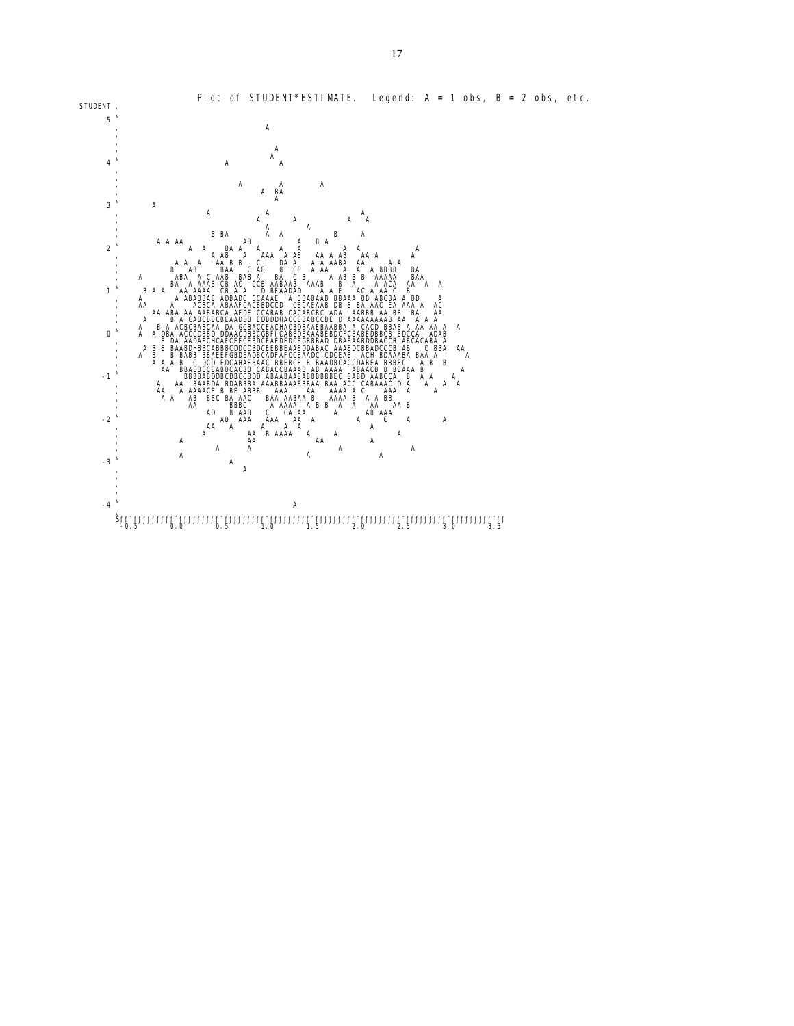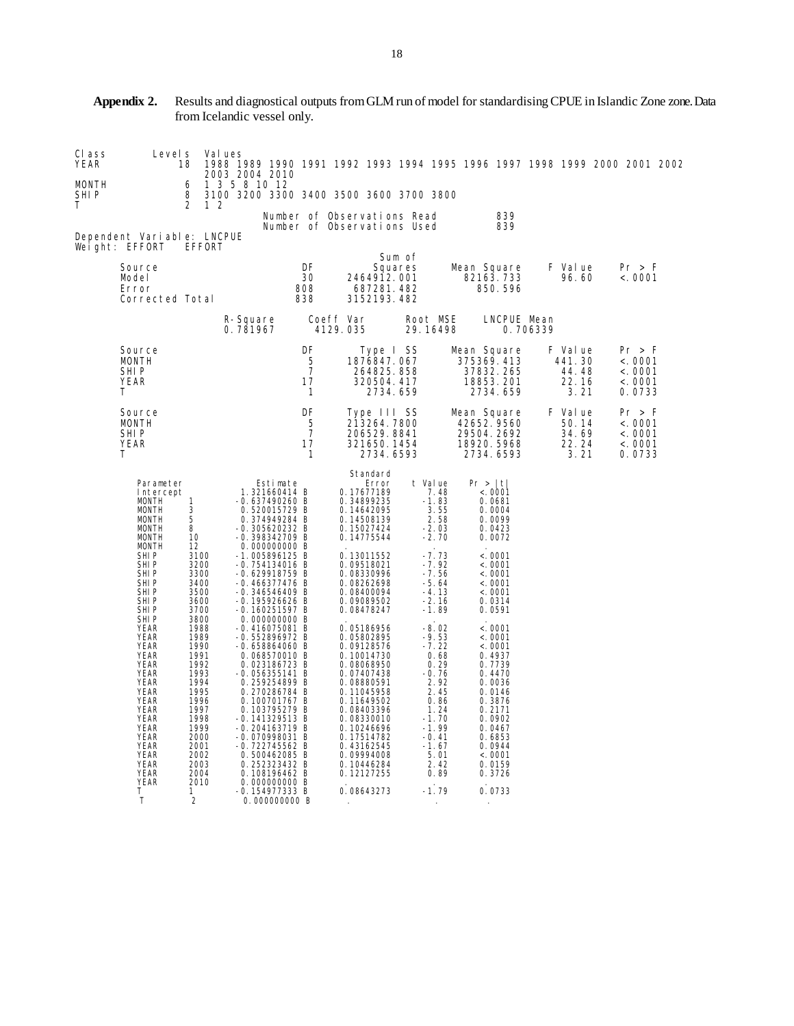| CI ass<br>YEAR      | Level s                                                                                                                                                                                                                                                      | 18                                                                                                                                           | Val ues        |                                 |                                                                                                                                                                                                                                                                                                                                  |                                                 |                                                            |                                                                                                                                                                                                                                            |         |                                                                                                                                                            |                                                                    |                                                                                                                                                                            |                         |                                             | 1988 1989 1990 1991 1992 1993 1994 1995 1996 1997 1998 1999 2000 2001 2002 |  |
|---------------------|--------------------------------------------------------------------------------------------------------------------------------------------------------------------------------------------------------------------------------------------------------------|----------------------------------------------------------------------------------------------------------------------------------------------|----------------|---------------------------------|----------------------------------------------------------------------------------------------------------------------------------------------------------------------------------------------------------------------------------------------------------------------------------------------------------------------------------|-------------------------------------------------|------------------------------------------------------------|--------------------------------------------------------------------------------------------------------------------------------------------------------------------------------------------------------------------------------------------|---------|------------------------------------------------------------------------------------------------------------------------------------------------------------|--------------------------------------------------------------------|----------------------------------------------------------------------------------------------------------------------------------------------------------------------------|-------------------------|---------------------------------------------|----------------------------------------------------------------------------|--|
| MONTH<br>SHI P<br>Τ |                                                                                                                                                                                                                                                              | 6<br>8<br>$\overline{2}$                                                                                                                     | 1 <sub>2</sub> | 2003 2004 2010<br>1 3 5 8 10 12 |                                                                                                                                                                                                                                                                                                                                  |                                                 | 3100 3200 3300 3400 3500 3600 3700 3800                    |                                                                                                                                                                                                                                            |         |                                                                                                                                                            |                                                                    |                                                                                                                                                                            |                         |                                             |                                                                            |  |
|                     |                                                                                                                                                                                                                                                              |                                                                                                                                              |                |                                 |                                                                                                                                                                                                                                                                                                                                  |                                                 | Number of Observations Read<br>Number of Observations Used |                                                                                                                                                                                                                                            |         |                                                                                                                                                            |                                                                    | 839<br>839                                                                                                                                                                 |                         |                                             |                                                                            |  |
|                     | Dependent Variable: LNCPUE<br>Weight: EFFORT                                                                                                                                                                                                                 | EFFORT                                                                                                                                       |                |                                 |                                                                                                                                                                                                                                                                                                                                  |                                                 |                                                            |                                                                                                                                                                                                                                            | Sum of  |                                                                                                                                                            |                                                                    |                                                                                                                                                                            |                         |                                             |                                                                            |  |
|                     | Source<br>Model<br>Error<br>Corrected Total                                                                                                                                                                                                                  |                                                                                                                                              |                |                                 |                                                                                                                                                                                                                                                                                                                                  | <b>DF</b><br>30<br>808<br>838                   |                                                            | 2464912.001<br>687281.482<br>3152193.482                                                                                                                                                                                                   | Squares |                                                                                                                                                            | Mean Square<br>82163.733                                           | 850.596                                                                                                                                                                    |                         | F Value<br>96.60                            | Pr > F<br>< .0001                                                          |  |
|                     |                                                                                                                                                                                                                                                              |                                                                                                                                              |                | R-Square<br>0.781967            |                                                                                                                                                                                                                                                                                                                                  |                                                 | Coeff Var<br>4129.035                                      |                                                                                                                                                                                                                                            |         | Root MSE<br>29.16498                                                                                                                                       |                                                                    |                                                                                                                                                                            | LNCPUE Mean<br>0.706339 |                                             |                                                                            |  |
|                     | Source<br><b>MONTH</b><br>SHI P<br><b>YEAR</b><br>т                                                                                                                                                                                                          |                                                                                                                                              |                |                                 |                                                                                                                                                                                                                                                                                                                                  | DF<br>5<br>$\overline{7}$<br>17<br>$\mathbf{1}$ |                                                            | Type I SS<br>1876847.067<br>264825.858<br>320504.417<br>2734.659                                                                                                                                                                           |         |                                                                                                                                                            | Mean Square<br>375369.413<br>37832.265<br>18853.201                | 2734.659                                                                                                                                                                   |                         | F Value<br>441.30<br>44.48<br>22.16<br>3.21 | Pr > F<br>< .0001<br>< .0001<br>< 0001<br>0.0733                           |  |
|                     | Source<br>MONTH<br>SHI P<br><b>YEAR</b><br>т                                                                                                                                                                                                                 |                                                                                                                                              |                |                                 |                                                                                                                                                                                                                                                                                                                                  | DF<br>5<br>$\overline{7}$<br>17<br>$\mathbf{1}$ |                                                            | Type III SS<br>213264.7800<br>206529.8841<br>321650.1454<br>2734.6593                                                                                                                                                                      |         |                                                                                                                                                            | Mean Square<br>42652.9560<br>29504.2692<br>18920.5968<br>2734.6593 |                                                                                                                                                                            |                         | F Value<br>50.14<br>34.69<br>22.24<br>3.21  | Pr > F<br>< 0001<br>< .0001<br>< .0001<br>0.0733                           |  |
|                     | Parameter<br>Intercept<br><b>MONTH</b><br><b>MONTH</b><br><b>MONTH</b><br><b>MONTH</b><br><b>MONTH</b><br><b>MONTH</b><br>SHI P<br>SHI P                                                                                                                     | 1<br>3<br>5<br>8<br>10<br>12<br>3100<br>3200                                                                                                 |                |                                 | Estimate<br>1.321660414 B<br>$-0.637490260$ B<br>0.520015729 B<br>0.374949284 B<br>$-0.305620232 B$<br>-0.398342709 B<br>0.000000000 B<br>$-1.005896125 B$<br>$-0.754134016$ B                                                                                                                                                   |                                                 |                                                            | Standard<br>Error<br>0.17677189<br>0.34899235<br>0.14642095<br>0.14508139<br>0.15027424<br>0.14775544<br>0.13011552<br>0.09518021                                                                                                          |         | t Value<br>7.48<br>$-1.83$<br>3.55<br>2.58<br>$-2.03$<br>$-2.70$<br>$-7.73$<br>$-7.92$                                                                     | Pr >  t                                                            | < 0001<br>0.0681<br>0.0004<br>0.0099<br>0.0423<br>0.0072<br>< .0001<br>< .0001                                                                                             |                         |                                             |                                                                            |  |
|                     | SHI <sub>P</sub><br>SHIP<br>SHI P<br>SHI <sub>P</sub><br>SHIP                                                                                                                                                                                                | 3300<br>3400<br>3500<br>3600<br>3700                                                                                                         |                |                                 | $-0.629918759 B$<br>$-0.466377476$ B<br>$-0.346546409$ B<br>-0.195926626 B<br>$-0.160251597 B$                                                                                                                                                                                                                                   |                                                 |                                                            | 0.08330996<br>0.08262698<br>0.08400094<br>0.09089502<br>0.08478247                                                                                                                                                                         |         | $-7.56$<br>$-5.64$<br>$-4.13$<br>$-2.16$<br>$-1.89$                                                                                                        |                                                                    | < .0001<br>< .0001<br>< .0001<br>0.0314<br>0.0591                                                                                                                          |                         |                                             |                                                                            |  |
|                     | SHIP<br><b>YEAR</b><br><b>YEAR</b><br><b>YEAR</b><br>YEAR<br><b>YEAR</b><br><b>YEAR</b><br><b>YEAR</b><br><b>YEAR</b><br><b>YEAR</b><br><b>YEAR</b><br><b>YEAR</b><br><b>YEAR</b><br><b>YEAR</b><br><b>YEAR</b><br><b>YEAR</b><br><b>YEAR</b><br><b>YEAR</b> | 3800<br>1988<br>1989<br>1990<br>1991<br>1992<br>1993<br>1994<br>1995<br>1996<br>1997<br>1998<br>1999<br>2000<br>2001<br>2002<br>2003<br>2004 |                |                                 | 0.000000000 B<br>$-0.416075081$ B<br>-0.552896972 B<br>$-0.658864060$ B<br>0.068570010 B<br>0.023186723 B<br>$-0.056355141 B$<br>0.259254899 B<br>0.270286784 B<br>0.100701767 B<br>0.103795279 B<br>$-0.141329513$ B<br>$-0.204163719$ B<br>-0.070998031 B<br>-0.722745562 B<br>0.500462085 B<br>0.252323432 B<br>0.108196462 B |                                                 |                                                            | 0.05186956<br>0.05802895<br>0.09128576<br>0.10014730<br>0.08068950<br>0.07407438<br>0.08880591<br>0.11045958<br>0.11649502<br>0.08403396<br>0.08330010<br>0.10246696<br>0.17514782<br>0.43162545<br>0.09994008<br>0.10446284<br>0.12127255 |         | $-8.02$<br>$-9.53$<br>$-7.22$<br>0.68<br>$0.29 - 0.76$<br>2.92<br>2.45<br>0.86<br>1.24<br>$-1.70$<br>$-1.99$<br>$-0.41$<br>$-1.67$<br>5.01<br>2.42<br>0.89 |                                                                    | < .0001<br>< .0001<br>< .0001<br>0.4937<br>0.7739<br>0.4470<br>0.0036<br>0.0146<br>0.3876<br>0.2171<br>0.0902<br>0.0467<br>0.6853<br>0.0944<br>< .0001<br>0.0159<br>0.3726 |                         |                                             |                                                                            |  |
|                     | <b>YEAR</b><br>Τ<br>T                                                                                                                                                                                                                                        | 2010<br>1<br>2                                                                                                                               |                |                                 | 0.000000000 B<br>$-0.154977333B$<br>0.000000000 B                                                                                                                                                                                                                                                                                |                                                 |                                                            | 0.08643273                                                                                                                                                                                                                                 |         | $-1.79$                                                                                                                                                    |                                                                    | 0.0733                                                                                                                                                                     |                         |                                             |                                                                            |  |

## **Appendix 2.** Results and diagnostical outputs from GLM run of model for standardising CPUE in Islandic Zone zone. Data from Icelandic vessel only.